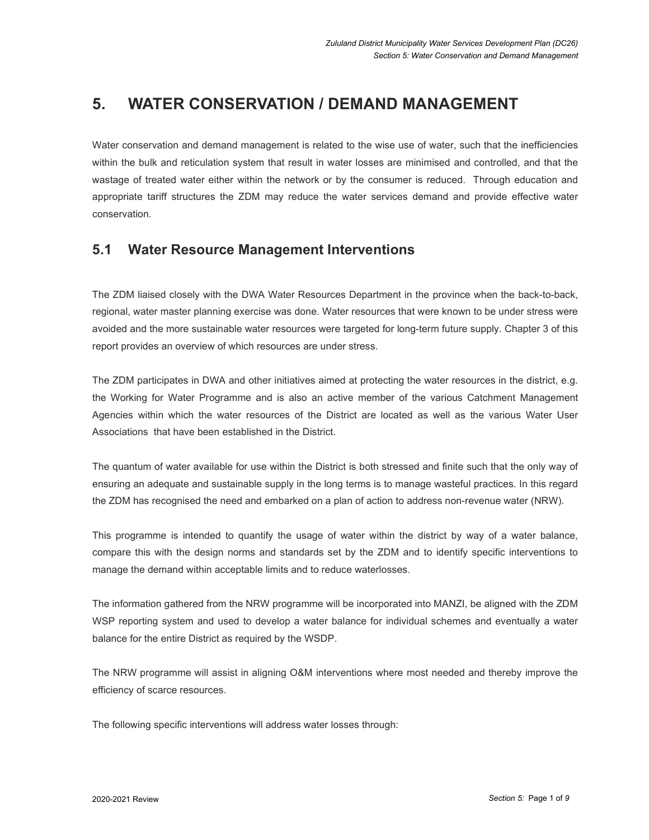# **5. WATER CONSERVATION / DEMAND MANAGEMENT**

Water conservation and demand management is related to the wise use of water, such that the inefficiencies within the bulk and reticulation system that result in water losses are minimised and controlled, and that the wastage of treated water either within the network or by the consumer is reduced. Through education and appropriate tariff structures the ZDM may reduce the water services demand and provide effective water conservation.

## **5.1 Water Resource Management Interventions**

The ZDM liaised closely with the DWA Water Resources Department in the province when the back-to-back, regional, water master planning exercise was done. Water resources that were known to be under stress were avoided and the more sustainable water resources were targeted for long-term future supply. Chapter 3 of this report provides an overview of which resources are under stress.

The ZDM participates in DWA and other initiatives aimed at protecting the water resources in the district, e.g. the Working for Water Programme and is also an active member of the various Catchment Management Agencies within which the water resources of the District are located as well as the various Water User Associations that have been established in the District.

The quantum of water available for use within the District is both stressed and finite such that the only way of ensuring an adequate and sustainable supply in the long terms is to manage wasteful practices. In this regard the ZDM has recognised the need and embarked on a plan of action to address non-revenue water (NRW).

This programme is intended to quantify the usage of water within the district by way of a water balance, compare this with the design norms and standards set by the ZDM and to identify specific interventions to manage the demand within acceptable limits and to reduce waterlosses.

The information gathered from the NRW programme will be incorporated into MANZI, be aligned with the ZDM WSP reporting system and used to develop a water balance for individual schemes and eventually a water balance for the entire District as required by the WSDP.

The NRW programme will assist in aligning O&M interventions where most needed and thereby improve the efficiency of scarce resources.

The following specific interventions will address water losses through: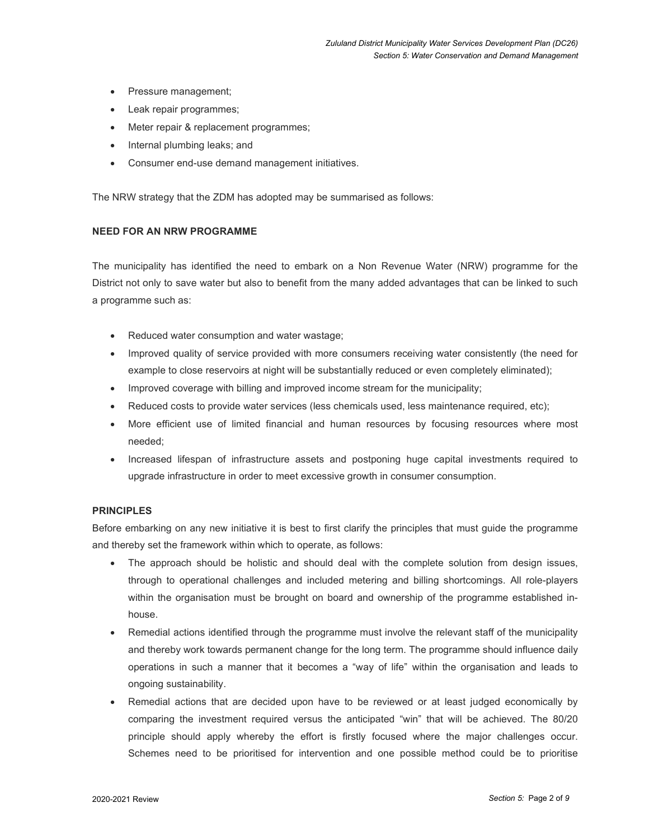- Pressure management;
- Leak repair programmes;
- Meter repair & replacement programmes;
- Internal plumbing leaks; and
- Consumer end-use demand management initiatives.

The NRW strategy that the ZDM has adopted may be summarised as follows:

### **NEED FOR AN NRW PROGRAMME**

The municipality has identified the need to embark on a Non Revenue Water (NRW) programme for the District not only to save water but also to benefit from the many added advantages that can be linked to such a programme such as:

- Reduced water consumption and water wastage;
- Improved quality of service provided with more consumers receiving water consistently (the need for example to close reservoirs at night will be substantially reduced or even completely eliminated);
- Improved coverage with billing and improved income stream for the municipality;
- Reduced costs to provide water services (less chemicals used, less maintenance required, etc);
- More efficient use of limited financial and human resources by focusing resources where most needed;
- Increased lifespan of infrastructure assets and postponing huge capital investments required to upgrade infrastructure in order to meet excessive growth in consumer consumption.

### **PRINCIPLES**

Before embarking on any new initiative it is best to first clarify the principles that must guide the programme and thereby set the framework within which to operate, as follows:

- The approach should be holistic and should deal with the complete solution from design issues, through to operational challenges and included metering and billing shortcomings. All role-players within the organisation must be brought on board and ownership of the programme established inhouse.
- Remedial actions identified through the programme must involve the relevant staff of the municipality and thereby work towards permanent change for the long term. The programme should influence daily operations in such a manner that it becomes a "way of life" within the organisation and leads to ongoing sustainability.
- Remedial actions that are decided upon have to be reviewed or at least judged economically by comparing the investment required versus the anticipated "win" that will be achieved. The 80/20 principle should apply whereby the effort is firstly focused where the major challenges occur. Schemes need to be prioritised for intervention and one possible method could be to prioritise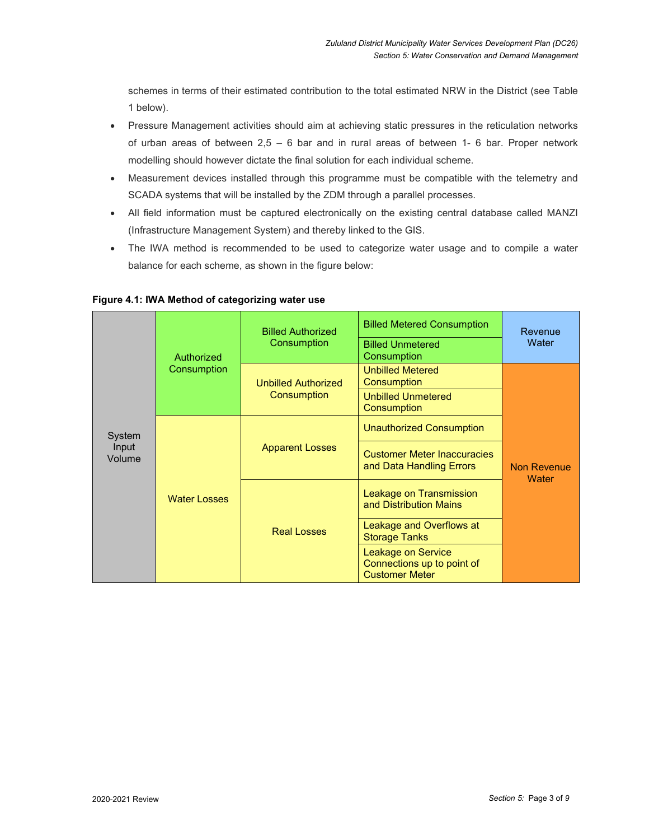schemes in terms of their estimated contribution to the total estimated NRW in the District (see Table 1 below).

- Pressure Management activities should aim at achieving static pressures in the reticulation networks of urban areas of between  $2.5 - 6$  bar and in rural areas of between 1-6 bar. Proper network modelling should however dictate the final solution for each individual scheme.
- Measurement devices installed through this programme must be compatible with the telemetry and SCADA systems that will be installed by the ZDM through a parallel processes.
- All field information must be captured electronically on the existing central database called MANZI (Infrastructure Management System) and thereby linked to the GIS.
- The IWA method is recommended to be used to categorize water usage and to compile a water balance for each scheme, as shown in the figure below:

| System<br>Input<br>Volume | Authorized<br>Consumption | <b>Billed Authorized</b><br>Consumption   | <b>Billed Metered Consumption</b>                                                | Revenue<br>Water                   |
|---------------------------|---------------------------|-------------------------------------------|----------------------------------------------------------------------------------|------------------------------------|
|                           |                           |                                           | <b>Billed Unmetered</b><br>Consumption                                           |                                    |
|                           |                           | <b>Unbilled Authorized</b><br>Consumption | <b>Unbilled Metered</b><br>Consumption                                           | <b>Non Revenue</b><br><b>Water</b> |
|                           |                           |                                           | <b>Unbilled Unmetered</b><br>Consumption                                         |                                    |
|                           | <b>Water Losses</b>       | <b>Apparent Losses</b>                    | <b>Unauthorized Consumption</b>                                                  |                                    |
|                           |                           |                                           | <b>Customer Meter Inaccuracies</b><br>and Data Handling Errors                   |                                    |
|                           |                           | <b>Real Losses</b>                        | Leakage on Transmission<br>and Distribution Mains                                |                                    |
|                           |                           |                                           | Leakage and Overflows at<br><b>Storage Tanks</b>                                 |                                    |
|                           |                           |                                           | <b>Leakage on Service</b><br>Connections up to point of<br><b>Customer Meter</b> |                                    |

### **Figure 4.1: IWA Method of categorizing water use**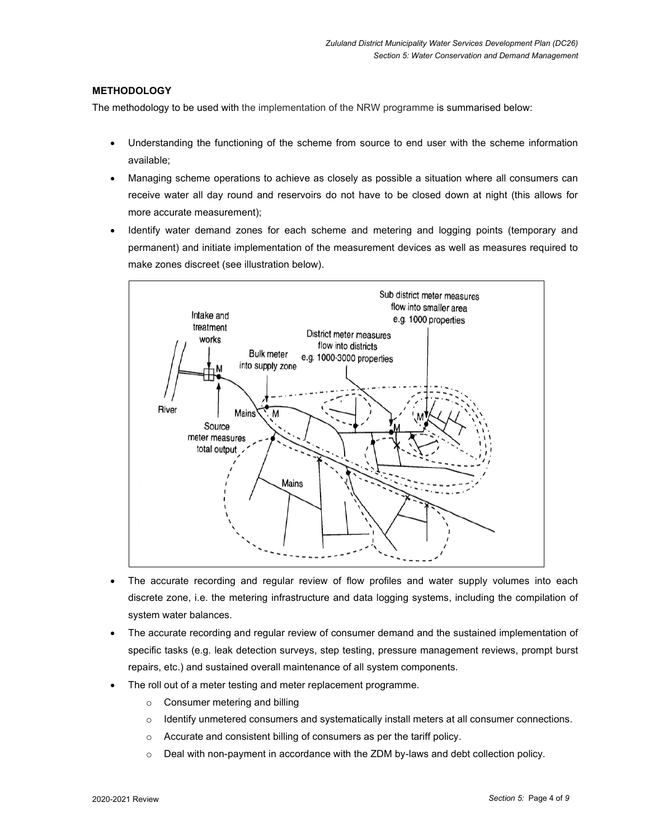## **METHODOLOGY**

The methodology to be used with the implementation of the NRW programme is summarised below:

- Understanding the functioning of the scheme from source to end user with the scheme information available;
- Managing scheme operations to achieve as closely as possible a situation where all consumers can receive water all day round and reservoirs do not have to be closed down at night (this allows for more accurate measurement);
- Identify water demand zones for each scheme and metering and logging points (temporary and permanent) and initiate implementation of the measurement devices as well as measures required to make zones discreet (see illustration below).



- The accurate recording and regular review of flow profiles and water supply volumes into each discrete zone, i.e. the metering infrastructure and data logging systems, including the compilation of system water balances.
- The accurate recording and regular review of consumer demand and the sustained implementation of specific tasks (e.g. leak detection surveys, step testing, pressure management reviews, prompt burst repairs, etc.) and sustained overall maintenance of all system components.
- The roll out of a meter testing and meter replacement programme.
	- o Consumer metering and billing
	- $\circ$  Identify unmetered consumers and systematically install meters at all consumer connections.
	- o Accurate and consistent billing of consumers as per the tariff policy.
	- $\circ$  Deal with non-payment in accordance with the ZDM by-laws and debt collection policy.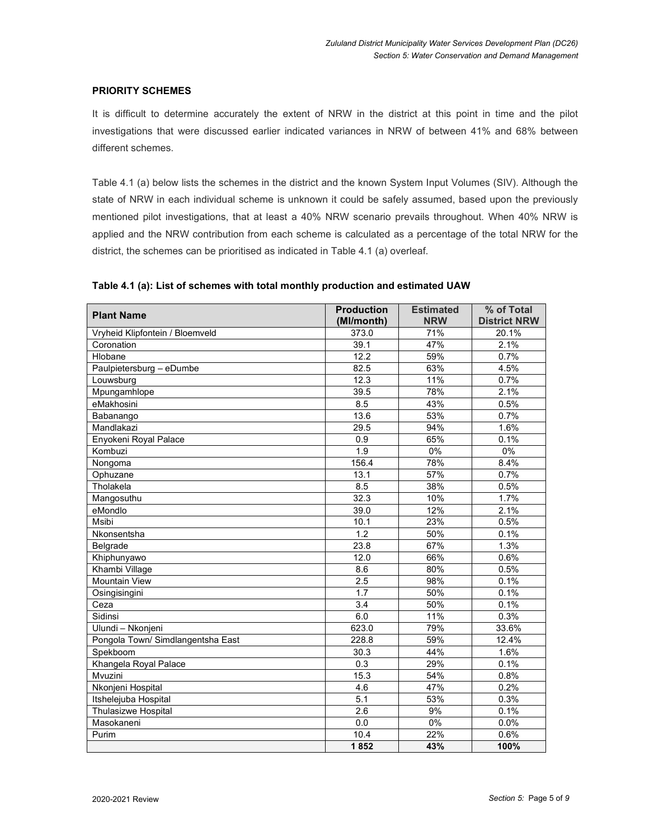## **PRIORITY SCHEMES**

It is difficult to determine accurately the extent of NRW in the district at this point in time and the pilot investigations that were discussed earlier indicated variances in NRW of between 41% and 68% between different schemes.

Table 4.1 (a) below lists the schemes in the district and the known System Input Volumes (SIV). Although the state of NRW in each individual scheme is unknown it could be safely assumed, based upon the previously mentioned pilot investigations, that at least a 40% NRW scenario prevails throughout. When 40% NRW is applied and the NRW contribution from each scheme is calculated as a percentage of the total NRW for the district, the schemes can be prioritised as indicated in Table 4.1 (a) overleaf.

| <b>Plant Name</b>                 | <b>Production</b><br>(Ml/month) | <b>Estimated</b><br><b>NRW</b> | % of Total<br><b>District NRW</b> |
|-----------------------------------|---------------------------------|--------------------------------|-----------------------------------|
| Vryheid Klipfontein / Bloemveld   | 373.0                           | 71%                            | 20.1%                             |
| Coronation                        | 39.1                            | 47%                            | 2.1%                              |
| Hlobane                           | 12.2                            | 59%                            | 0.7%                              |
| Paulpietersburg - eDumbe          | 82.5                            | 63%                            | 4.5%                              |
| Louwsburg                         | 12.3                            | 11%                            | 0.7%                              |
| Mpungamhlope                      | 39.5                            | 78%                            | 2.1%                              |
| eMakhosini                        | 8.5                             | 43%                            | 0.5%                              |
| Babanango                         | 13.6                            | 53%                            | 0.7%                              |
| Mandlakazi                        | 29.5                            | 94%                            | 1.6%                              |
| Enyokeni Royal Palace             | 0.9                             | 65%                            | 0.1%                              |
| Kombuzi                           | 1.9                             | 0%                             | $0\%$                             |
| Nongoma                           | 156.4                           | 78%                            | 8.4%                              |
| Ophuzane                          | 13.1                            | 57%                            | 0.7%                              |
| Tholakela                         | 8.5                             | 38%                            | 0.5%                              |
| Mangosuthu                        | 32.3                            | 10%                            | 1.7%                              |
| eMondlo                           | 39.0                            | 12%                            | 2.1%                              |
| Msibi                             | 10.1                            | 23%                            | 0.5%                              |
| Nkonsentsha                       | 1.2                             | 50%                            | 0.1%                              |
| Belgrade                          | 23.8                            | 67%                            | 1.3%                              |
| Khiphunyawo                       | 12.0                            | 66%                            | 0.6%                              |
| Khambi Village                    | 8.6                             | 80%                            | 0.5%                              |
| <b>Mountain View</b>              | 2.5                             | 98%                            | 0.1%                              |
| Osingisingini                     | 1.7                             | 50%                            | 0.1%                              |
| Ceza                              | 3.4                             | 50%                            | 0.1%                              |
| Sidinsi                           | 6.0                             | 11%                            | 0.3%                              |
| Ulundi - Nkonjeni                 | 623.0                           | 79%                            | 33.6%                             |
| Pongola Town/ Simdlangentsha East | 228.8                           | 59%                            | 12.4%                             |
| Spekboom                          | 30.3                            | 44%                            | 1.6%                              |
| Khangela Royal Palace             | 0.3                             | 29%                            | 0.1%                              |
| Mvuzini                           | 15.3                            | 54%                            | 0.8%                              |
| Nkonjeni Hospital                 | 4.6                             | 47%                            | 0.2%                              |
| Itshelejuba Hospital              | 5.1                             | 53%                            | 0.3%                              |
| <b>Thulasizwe Hospital</b>        | 2.6                             | 9%                             | 0.1%                              |
| Masokaneni                        | 0.0                             | 0%                             | 0.0%                              |
| Purim                             | 10.4                            | 22%                            | 0.6%                              |
|                                   | 1852                            | 43%                            | 100%                              |

## **Table 4.1 (a): List of schemes with total monthly production and estimated UAW**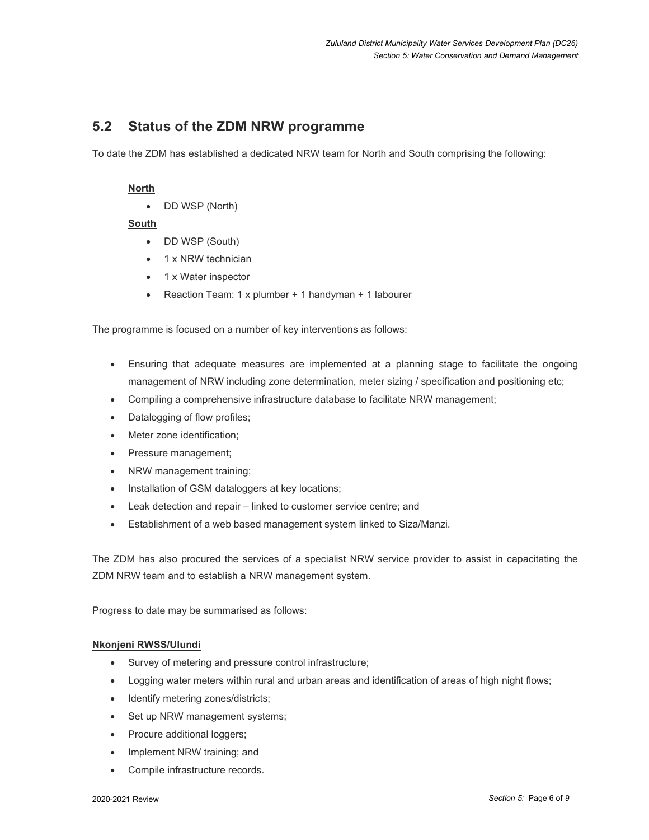## **5.2 Status of the ZDM NRW programme**

To date the ZDM has established a dedicated NRW team for North and South comprising the following:

## **North**

DD WSP (North)

## **South**

- DD WSP (South)
- 1 x NRW technician
- 1 x Water inspector
- Reaction Team: 1 x plumber + 1 handyman + 1 labourer

The programme is focused on a number of key interventions as follows:

- Ensuring that adequate measures are implemented at a planning stage to facilitate the ongoing management of NRW including zone determination, meter sizing / specification and positioning etc;
- Compiling a comprehensive infrastructure database to facilitate NRW management;
- Datalogging of flow profiles;
- Meter zone identification;
- Pressure management;
- NRW management training;
- Installation of GSM dataloggers at key locations;
- Leak detection and repair linked to customer service centre; and
- Establishment of a web based management system linked to Siza/Manzi.

The ZDM has also procured the services of a specialist NRW service provider to assist in capacitating the ZDM NRW team and to establish a NRW management system.

Progress to date may be summarised as follows:

## **Nkonjeni RWSS/Ulundi**

- Survey of metering and pressure control infrastructure;
- Logging water meters within rural and urban areas and identification of areas of high night flows;
- Identify metering zones/districts;
- Set up NRW management systems;
- Procure additional loggers;
- Implement NRW training; and
- Compile infrastructure records.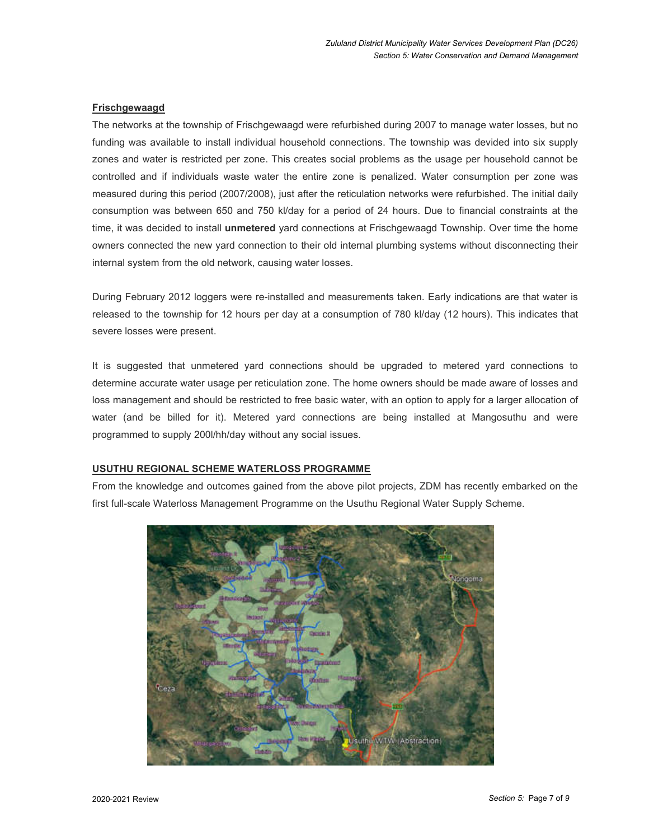## **Frischgewaagd**

The networks at the township of Frischgewaagd were refurbished during 2007 to manage water losses, but no funding was available to install individual household connections. The township was devided into six supply zones and water is restricted per zone. This creates social problems as the usage per household cannot be controlled and if individuals waste water the entire zone is penalized. Water consumption per zone was measured during this period (2007/2008), just after the reticulation networks were refurbished. The initial daily consumption was between 650 and 750 kl/day for a period of 24 hours. Due to financial constraints at the time, it was decided to install **unmetered** yard connections at Frischgewaagd Township. Over time the home owners connected the new yard connection to their old internal plumbing systems without disconnecting their internal system from the old network, causing water losses.

During February 2012 loggers were re-installed and measurements taken. Early indications are that water is released to the township for 12 hours per day at a consumption of 780 kl/day (12 hours). This indicates that severe losses were present.

It is suggested that unmetered yard connections should be upgraded to metered yard connections to determine accurate water usage per reticulation zone. The home owners should be made aware of losses and loss management and should be restricted to free basic water, with an option to apply for a larger allocation of water (and be billed for it). Metered yard connections are being installed at Mangosuthu and were programmed to supply 200l/hh/day without any social issues.

### **USUTHU REGIONAL SCHEME WATERLOSS PROGRAMME**

From the knowledge and outcomes gained from the above pilot projects, ZDM has recently embarked on the first full-scale Waterloss Management Programme on the Usuthu Regional Water Supply Scheme.

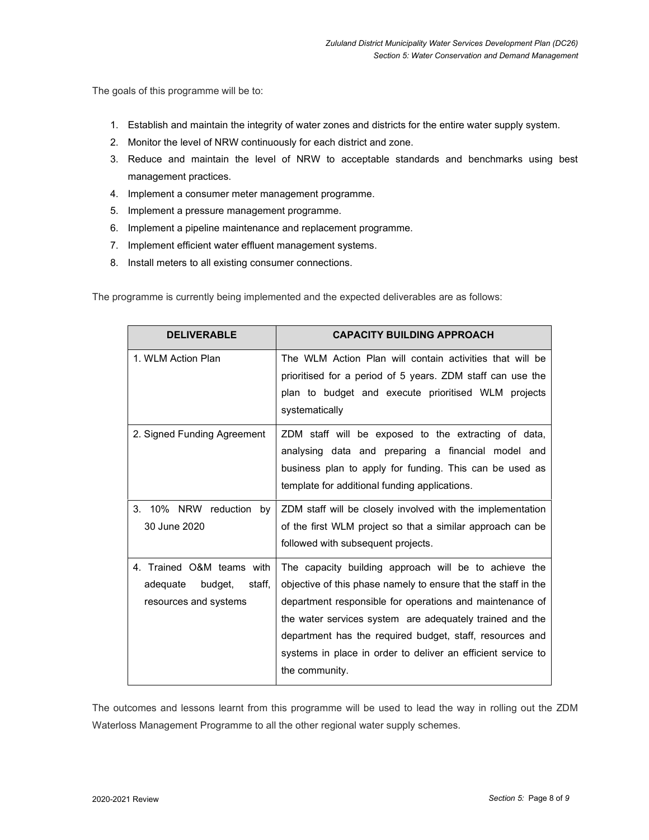The goals of this programme will be to:

- 1. Establish and maintain the integrity of water zones and districts for the entire water supply system.
- 2. Monitor the level of NRW continuously for each district and zone.
- 3. Reduce and maintain the level of NRW to acceptable standards and benchmarks using best management practices.
- 4. Implement a consumer meter management programme.
- 5. Implement a pressure management programme.
- 6. Implement a pipeline maintenance and replacement programme.
- 7. Implement efficient water effluent management systems.
- 8. Install meters to all existing consumer connections.

The programme is currently being implemented and the expected deliverables are as follows:

| <b>DELIVERABLE</b>            | <b>CAPACITY BUILDING APPROACH</b>                              |
|-------------------------------|----------------------------------------------------------------|
| 1. WLM Action Plan            | The WLM Action Plan will contain activities that will be       |
|                               | prioritised for a period of 5 years. ZDM staff can use the     |
|                               | plan to budget and execute prioritised WLM projects            |
|                               | systematically                                                 |
| 2. Signed Funding Agreement   | ZDM staff will be exposed to the extracting of data,           |
|                               | analysing data and preparing a financial model and             |
|                               | business plan to apply for funding. This can be used as        |
|                               | template for additional funding applications.                  |
| 3. 10% NRW reduction<br>by    | ZDM staff will be closely involved with the implementation     |
| 30 June 2020                  | of the first WLM project so that a similar approach can be     |
|                               | followed with subsequent projects.                             |
| 4. Trained O&M teams with     | The capacity building approach will be to achieve the          |
| staff,<br>adequate<br>budget, | objective of this phase namely to ensure that the staff in the |
| resources and systems         | department responsible for operations and maintenance of       |
|                               | the water services system are adequately trained and the       |
|                               | department has the required budget, staff, resources and       |
|                               | systems in place in order to deliver an efficient service to   |
|                               | the community.                                                 |

The outcomes and lessons learnt from this programme will be used to lead the way in rolling out the ZDM Waterloss Management Programme to all the other regional water supply schemes.